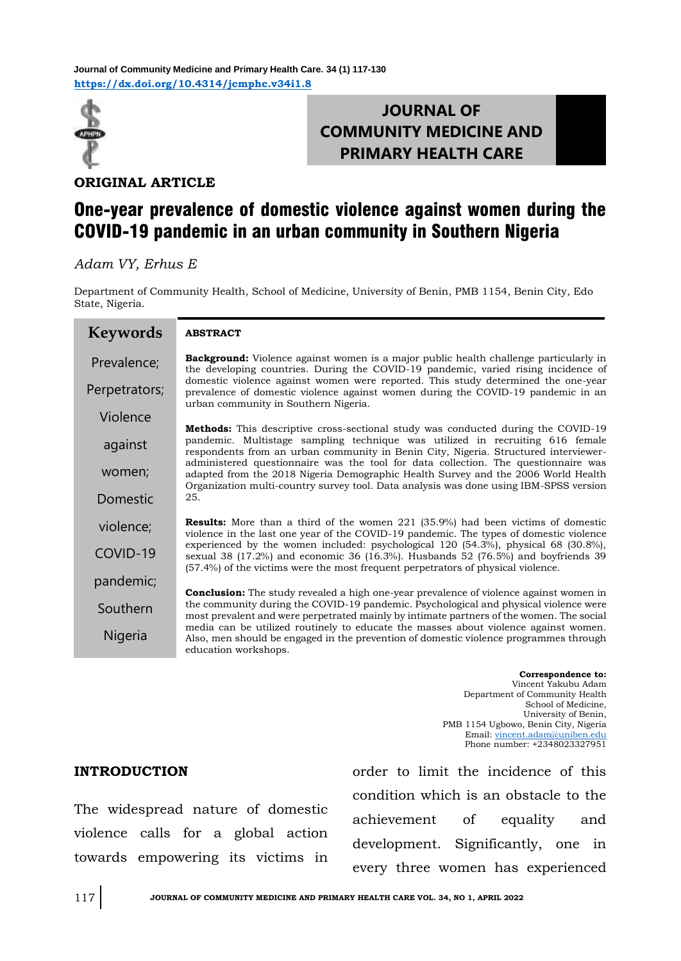**<https://dx.doi.org/10.4314/jcmphc.v34i1.8> Journal of Community Medicine and Primary Health Care. 34 (1) 117-130**



## **JOURNAL OF COMMUNITY MEDICINE AND PRIMARY HEALTH CARE**

**ORIGINAL ARTICLE**

# One-year prevalence of domestic violence against women during the COVID-19 pandemic in an urban community in Southern Nigeria

*Adam VY, Erhus E*

Department of Community Health, School of Medicine, University of Benin, PMB 1154, Benin City, Edo State, Nigeria.

| <b>Keywords</b> | <b>ABSTRACT</b>                                                                                                                                                                                                                                                                   |
|-----------------|-----------------------------------------------------------------------------------------------------------------------------------------------------------------------------------------------------------------------------------------------------------------------------------|
| Prevalence;     | <b>Background:</b> Violence against women is a major public health challenge particularly in<br>the developing countries. During the COVID-19 pandemic, varied rising incidence of                                                                                                |
| Perpetrators;   | domestic violence against women were reported. This study determined the one-year<br>prevalence of domestic violence against women during the COVID-19 pandemic in an<br>urban community in Southern Nigeria.                                                                     |
| Violence        |                                                                                                                                                                                                                                                                                   |
| against         | <b>Methods:</b> This descriptive cross-sectional study was conducted during the COVID-19<br>pandemic. Multistage sampling technique was utilized in recruiting 616 female<br>respondents from an urban community in Benin City, Nigeria. Structured interviewer-                  |
| women;          | administered questionnaire was the tool for data collection. The questionnaire was<br>adapted from the 2018 Nigeria Demographic Health Survey and the 2006 World Health                                                                                                           |
| Domestic        | Organization multi-country survey tool. Data analysis was done using IBM-SPSS version<br>25.                                                                                                                                                                                      |
| violence;       | <b>Results:</b> More than a third of the women 221 (35.9%) had been victims of domestic<br>violence in the last one year of the COVID-19 pandemic. The types of domestic violence                                                                                                 |
| COVID-19        | experienced by the women included: psychological 120 (54.3%), physical 68 (30.8%),<br>sexual 38 $(17.2%)$ and economic 36 $(16.3%)$ . Husbands 52 $(76.5%)$ and boyfriends 39<br>(57.4%) of the victims were the most frequent perpetrators of physical violence.                 |
| pandemic;       |                                                                                                                                                                                                                                                                                   |
| Southern        | <b>Conclusion:</b> The study revealed a high one-year prevalence of violence against women in<br>the community during the COVID-19 pandemic. Psychological and physical violence were<br>most prevalent and were perpetrated mainly by intimate partners of the women. The social |
| Nigeria         | media can be utilized routinely to educate the masses about violence against women.<br>Also, men should be engaged in the prevention of domestic violence programmes through<br>education workshops.                                                                              |

**Correspondence to:**  Vincent Yakubu Adam Department of Community Health School of Medicine, University of Benin, PMB 1154 Ugbowo, Benin City, Nigeria Email: [vincent.adam@uniben.edu](mailto:vincent.adam@uniben.edu) Phone number: +2348023327951

### **INTRODUCTION**

The widespread nature of domestic violence calls for a global action towards empowering its victims in order to limit the incidence of this condition which is an obstacle to the achievement of equality and development. Significantly, one in every three women has experienced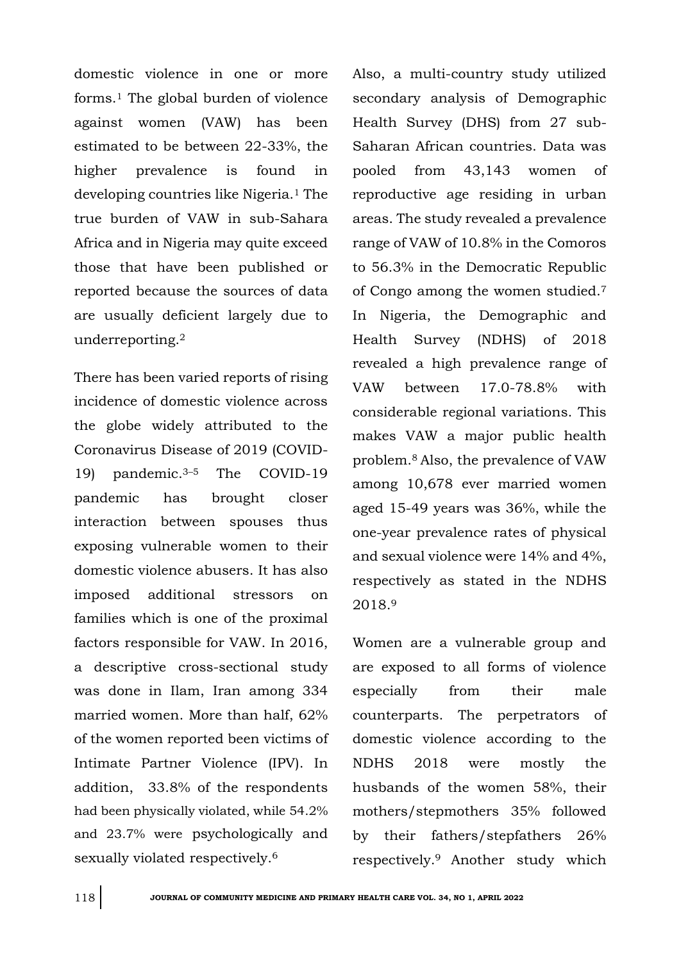domestic violence in one or more forms.<sup>1</sup> The global burden of violence against women (VAW) has been estimated to be between 22-33%, the higher prevalence is found in developing countries like Nigeria.<sup>1</sup> The true burden of VAW in sub-Sahara Africa and in Nigeria may quite exceed those that have been published or reported because the sources of data are usually deficient largely due to underreporting.<sup>2</sup>

There has been varied reports of rising incidence of domestic violence across the globe widely attributed to the Coronavirus Disease of 2019 (COVID-19) pandemic.3–<sup>5</sup> The COVID-19 pandemic has brought closer interaction between spouses thus exposing vulnerable women to their domestic violence abusers. It has also imposed additional stressors on families which is one of the proximal factors responsible for VAW. In 2016, a descriptive cross-sectional study was done in Ilam, Iran among 334 married women. More than half, 62% of the women reported been victims of Intimate Partner Violence (IPV). In addition, 33.8% of the respondents had been physically violated, while 54.2% and 23.7% were psychologically and sexually violated respectively.<sup>6</sup>

Also, a multi-country study utilized secondary analysis of Demographic Health Survey (DHS) from 27 sub-Saharan African countries. Data was pooled from 43,143 women of reproductive age residing in urban areas. The study revealed a prevalence range of VAW of 10.8% in the Comoros to 56.3% in the Democratic Republic of Congo among the women studied.<sup>7</sup> In Nigeria, the Demographic and Health Survey (NDHS) of 2018 revealed a high prevalence range of VAW between 17.0-78.8% with considerable regional variations. This makes VAW a major public health problem.8 Also, the prevalence of VAW among 10,678 ever married women aged 15-49 years was 36%, while the one-year prevalence rates of physical and sexual violence were 14% and 4%, respectively as stated in the NDHS 2018.<sup>9</sup>

Women are a vulnerable group and are exposed to all forms of violence especially from their male counterparts. The perpetrators of domestic violence according to the NDHS 2018 were mostly the husbands of the women 58%, their mothers/stepmothers 35% followed by their fathers/stepfathers 26% respectively.9 Another study which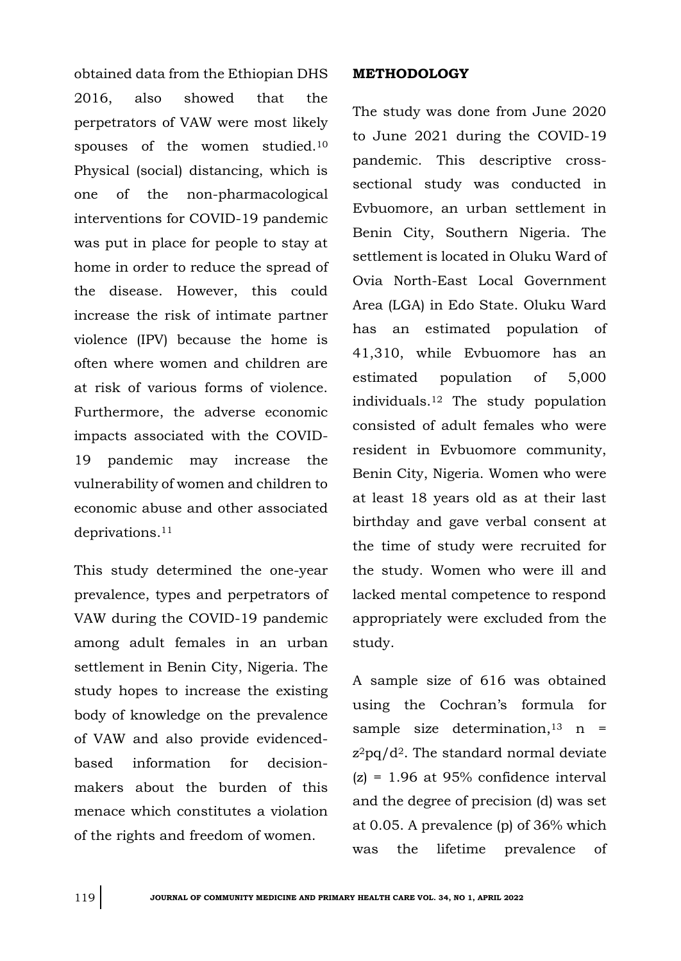obtained data from the Ethiopian DHS 2016, also showed that the perpetrators of VAW were most likely spouses of the women studied.<sup>10</sup> Physical (social) distancing, which is one of the non-pharmacological interventions for COVID-19 pandemic was put in place for people to stay at home in order to reduce the spread of the disease. However, this could increase the risk of intimate partner violence (IPV) because the home is often where women and children are at risk of various forms of violence. Furthermore, the adverse economic impacts associated with the COVID-19 pandemic may increase the vulnerability of women and children to economic abuse and other associated deprivations.<sup>11</sup>

This study determined the one-year prevalence, types and perpetrators of VAW during the COVID-19 pandemic among adult females in an urban settlement in Benin City, Nigeria. The study hopes to increase the existing body of knowledge on the prevalence of VAW and also provide evidencedbased information for decisionmakers about the burden of this menace which constitutes a violation of the rights and freedom of women.

### **METHODOLOGY**

The study was done from June 2020 to June 2021 during the COVID-19 pandemic. This descriptive crosssectional study was conducted in Evbuomore, an urban settlement in Benin City, Southern Nigeria. The settlement is located in Oluku Ward of Ovia North-East Local Government Area (LGA) in Edo State. Oluku Ward has an estimated population of 41,310, while Evbuomore has an estimated population of 5,000 individuals.<sup>12</sup> The study population consisted of adult females who were resident in Evbuomore community, Benin City, Nigeria. Women who were at least 18 years old as at their last birthday and gave verbal consent at the time of study were recruited for the study. Women who were ill and lacked mental competence to respond appropriately were excluded from the study.

A sample size of 616 was obtained using the Cochran's formula for sample size determination,  $13 \text{ n} =$  $z^2$ pq/d<sup>2</sup>. The standard normal deviate  $(z) = 1.96$  at 95% confidence interval and the degree of precision (d) was set at 0.05. A prevalence (p) of 36% which was the lifetime prevalence of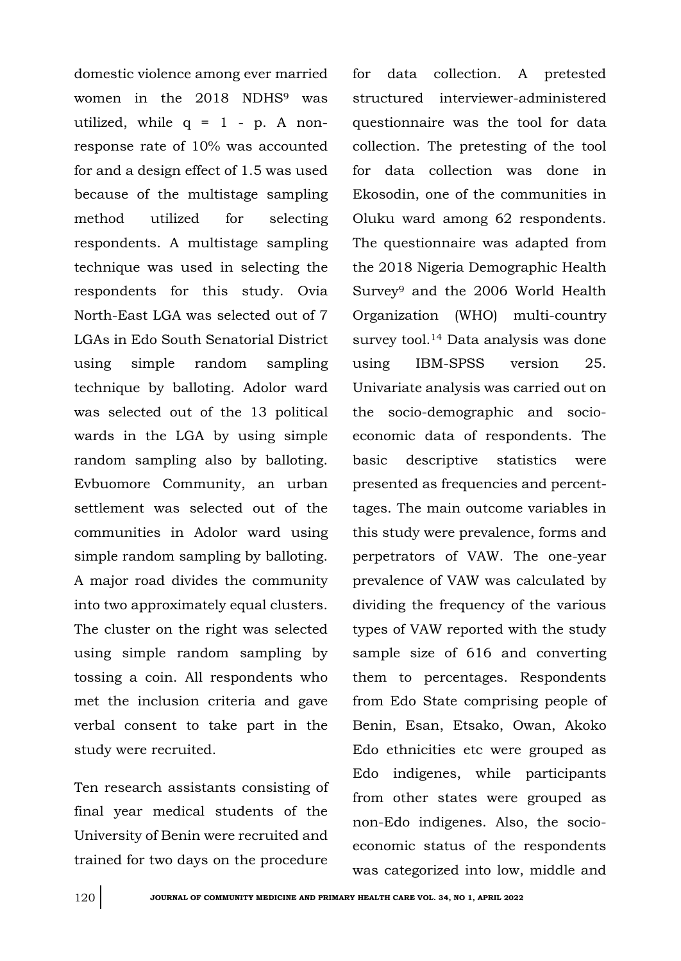domestic violence among ever married women in the 2018 NDHS<sup>9</sup> was utilized, while  $q = 1 - p$ . A nonresponse rate of 10% was accounted for and a design effect of 1.5 was used because of the multistage sampling method utilized for selecting respondents. A multistage sampling technique was used in selecting the respondents for this study. Ovia North-East LGA was selected out of 7 LGAs in Edo South Senatorial District using simple random sampling technique by balloting. Adolor ward was selected out of the 13 political wards in the LGA by using simple random sampling also by balloting. Evbuomore Community, an urban settlement was selected out of the communities in Adolor ward using simple random sampling by balloting. A major road divides the community into two approximately equal clusters. The cluster on the right was selected using simple random sampling by tossing a coin. All respondents who met the inclusion criteria and gave verbal consent to take part in the study were recruited.

Ten research assistants consisting of final year medical students of the University of Benin were recruited and trained for two days on the procedure for data collection. A pretested structured interviewer-administered questionnaire was the tool for data collection. The pretesting of the tool for data collection was done in Ekosodin, one of the communities in Oluku ward among 62 respondents. The questionnaire was adapted from the 2018 Nigeria Demographic Health Survey<sup>9</sup> and the 2006 World Health Organization (WHO) multi-country survey tool.<sup>14</sup> Data analysis was done using IBM-SPSS version 25. Univariate analysis was carried out on the socio-demographic and socioeconomic data of respondents. The basic descriptive statistics were presented as frequencies and percenttages. The main outcome variables in this study were prevalence, forms and perpetrators of VAW. The one-year prevalence of VAW was calculated by dividing the frequency of the various types of VAW reported with the study sample size of 616 and converting them to percentages. Respondents from Edo State comprising people of Benin, Esan, Etsako, Owan, Akoko Edo ethnicities etc were grouped as Edo indigenes, while participants from other states were grouped as non-Edo indigenes. Also, the socioeconomic status of the respondents was categorized into low, middle and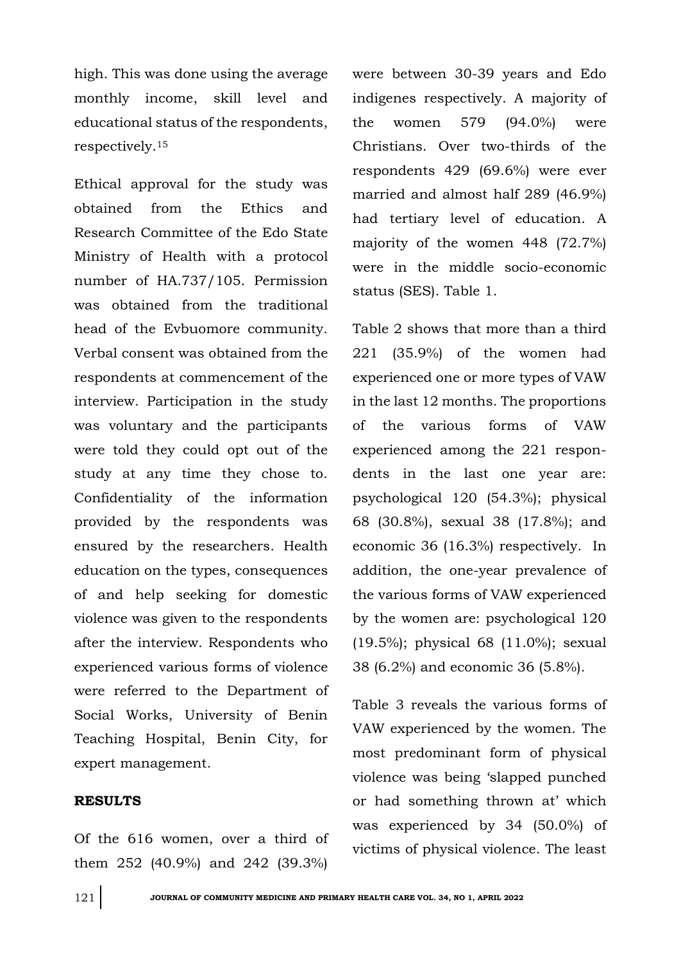high. This was done using the average monthly income, skill level and educational status of the respondents, respectively.<sup>15</sup>

Ethical approval for the study was obtained from the Ethics and Research Committee of the Edo State Ministry of Health with a protocol number of HA.737/105. Permission was obtained from the traditional head of the Evbuomore community. Verbal consent was obtained from the respondents at commencement of the interview. Participation in the study was voluntary and the participants were told they could opt out of the study at any time they chose to. Confidentiality of the information provided by the respondents was ensured by the researchers. Health education on the types, consequences of and help seeking for domestic violence was given to the respondents after the interview. Respondents who experienced various forms of violence were referred to the Department of Social Works, University of Benin Teaching Hospital, Benin City, for expert management.

#### **RESULTS**

Of the 616 women, over a third of them 252 (40.9%) and 242 (39.3%)

were between 30-39 years and Edo indigenes respectively. A majority of the women 579 (94.0%) were Christians. Over two-thirds of the respondents 429 (69.6%) were ever married and almost half 289 (46.9%) had tertiary level of education. A majority of the women 448 (72.7%) were in the middle socio-economic status (SES). Table 1.

Table 2 shows that more than a third 221 (35.9%) of the women had experienced one or more types of VAW in the last 12 months. The proportions of the various forms of VAW experienced among the 221 respondents in the last one year are: psychological 120 (54.3%); physical 68 (30.8%), sexual 38 (17.8%); and economic 36 (16.3%) respectively. In addition, the one-year prevalence of the various forms of VAW experienced by the women are: psychological 120 (19.5%); physical 68 (11.0%); sexual 38 (6.2%) and economic 36 (5.8%).

Table 3 reveals the various forms of VAW experienced by the women. The most predominant form of physical violence was being 'slapped punched or had something thrown at' which was experienced by 34 (50.0%) of victims of physical violence. The least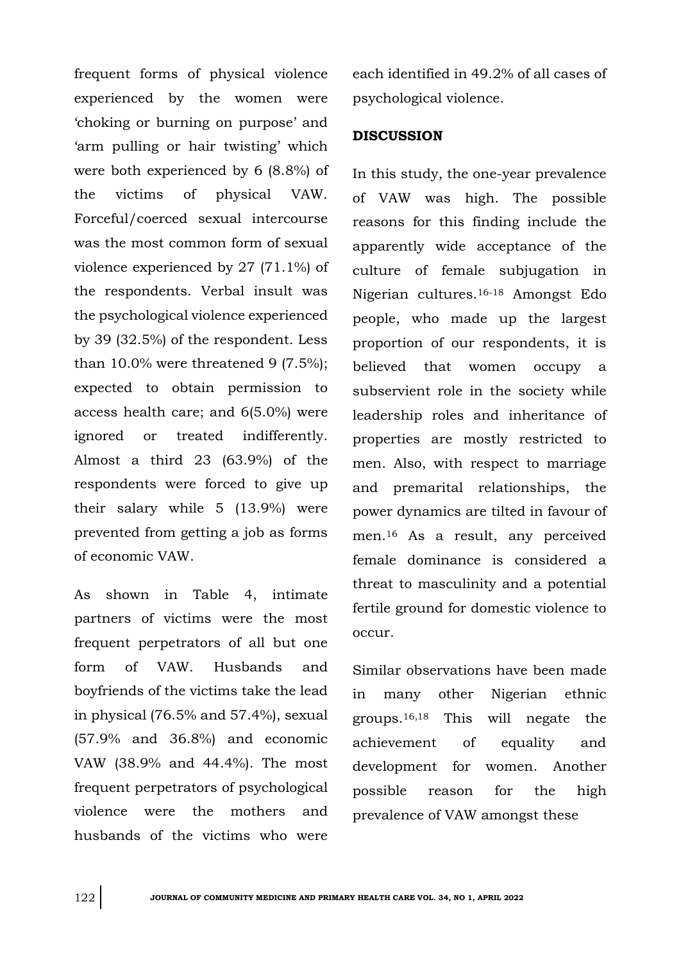frequent forms of physical violence experienced by the women were 'choking or burning on purpose' and 'arm pulling or hair twisting' which were both experienced by 6 (8.8%) of the victims of physical VAW. Forceful/coerced sexual intercourse was the most common form of sexual violence experienced by 27 (71.1%) of the respondents. Verbal insult was the psychological violence experienced by 39 (32.5%) of the respondent. Less than  $10.0\%$  were threatened 9 (7.5%); expected to obtain permission to access health care; and 6(5.0%) were ignored or treated indifferently. Almost a third 23 (63.9%) of the respondents were forced to give up their salary while 5 (13.9%) were prevented from getting a job as forms of economic VAW.

As shown in Table 4, intimate partners of victims were the most frequent perpetrators of all but one form of VAW. Husbands and boyfriends of the victims take the lead in physical (76.5% and 57.4%), sexual (57.9% and 36.8%) and economic VAW (38.9% and 44.4%). The most frequent perpetrators of psychological violence were the mothers and husbands of the victims who were

each identified in 49.2% of all cases of psychological violence.

### **DISCUSSION**

In this study, the one-year prevalence of VAW was high. The possible reasons for this finding include the apparently wide acceptance of the culture of female subjugation in Nigerian cultures.16-18 Amongst Edo people, who made up the largest proportion of our respondents, it is believed that women occupy a subservient role in the society while leadership roles and inheritance of properties are mostly restricted to men. Also, with respect to marriage and premarital relationships, the power dynamics are tilted in favour of men.<sup>16</sup> As a result, any perceived female dominance is considered a threat to masculinity and a potential fertile ground for domestic violence to occur.

Similar observations have been made in many other Nigerian ethnic groups.16,18 This will negate the achievement of equality and development for women. Another possible reason for the high prevalence of VAW amongst these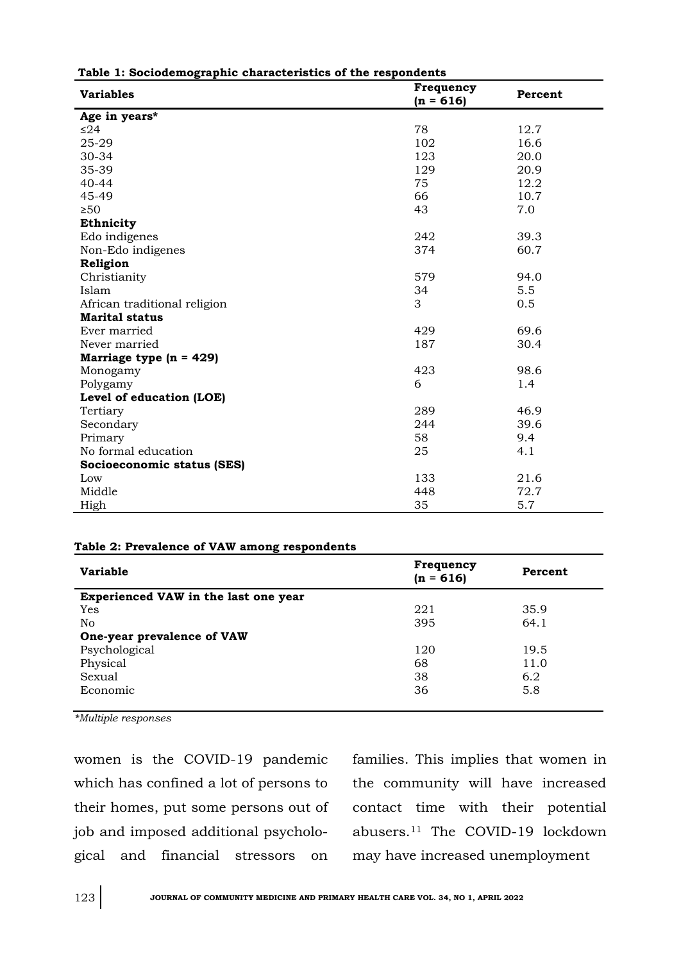| <b>Variables</b>             | Frequency<br>$(n = 616)$ | Percent |
|------------------------------|--------------------------|---------|
| Age in years*                |                          |         |
| ≤ $24$                       | 78                       | 12.7    |
| 25-29                        | 102                      | 16.6    |
| 30-34                        | 123                      | 20.0    |
| 35-39                        | 129                      | 20.9    |
| 40-44                        | 75                       | 12.2    |
| 45-49                        | 66                       | 10.7    |
| $\geq 50$                    | 43                       | 7.0     |
| Ethnicity                    |                          |         |
| Edo indigenes                | 242                      | 39.3    |
| Non-Edo indigenes            | 374                      | 60.7    |
| Religion                     |                          |         |
| Christianity                 | 579                      | 94.0    |
| Islam                        | 34                       | 5.5     |
| African traditional religion | 3                        | 0.5     |
| <b>Marital status</b>        |                          |         |
| Ever married                 | 429                      | 69.6    |
| Never married                | 187                      | 30.4    |
| Marriage type $(n = 429)$    |                          |         |
| Monogamy                     | 423                      | 98.6    |
| Polygamy                     | 6                        | 1.4     |
| Level of education (LOE)     |                          |         |
| Tertiary                     | 289                      | 46.9    |
| Secondary                    | 244                      | 39.6    |
| Primary                      | 58                       | 9.4     |
| No formal education          | 25                       | 4.1     |
| Socioeconomic status (SES)   |                          |         |
| Low                          | 133                      | 21.6    |
| Middle                       | 448                      | 72.7    |
| High                         | 35                       | 5.7     |

#### **Table 1: Sociodemographic characteristics of the respondents**

#### **Table 2: Prevalence of VAW among respondents**

| <b>Variable</b>                      | Frequency<br>$(n = 616)$ | Percent |  |  |
|--------------------------------------|--------------------------|---------|--|--|
| Experienced VAW in the last one year |                          |         |  |  |
| Yes                                  | 221                      | 35.9    |  |  |
| No                                   | 395                      | 64.1    |  |  |
| One-year prevalence of VAW           |                          |         |  |  |
| Psychological                        | 120                      | 19.5    |  |  |
| Physical                             | 68                       | 11.0    |  |  |
| Sexual                               | 38                       | 6.2     |  |  |
| Economic                             | 36                       | 5.8     |  |  |
|                                      |                          |         |  |  |

*\*Multiple responses*

women is the COVID-19 pandemic which has confined a lot of persons to their homes, put some persons out of job and imposed additional psychological and financial stressors on families. This implies that women in the community will have increased contact time with their potential abusers.<sup>11</sup> The COVID-19 lockdown may have increased unemployment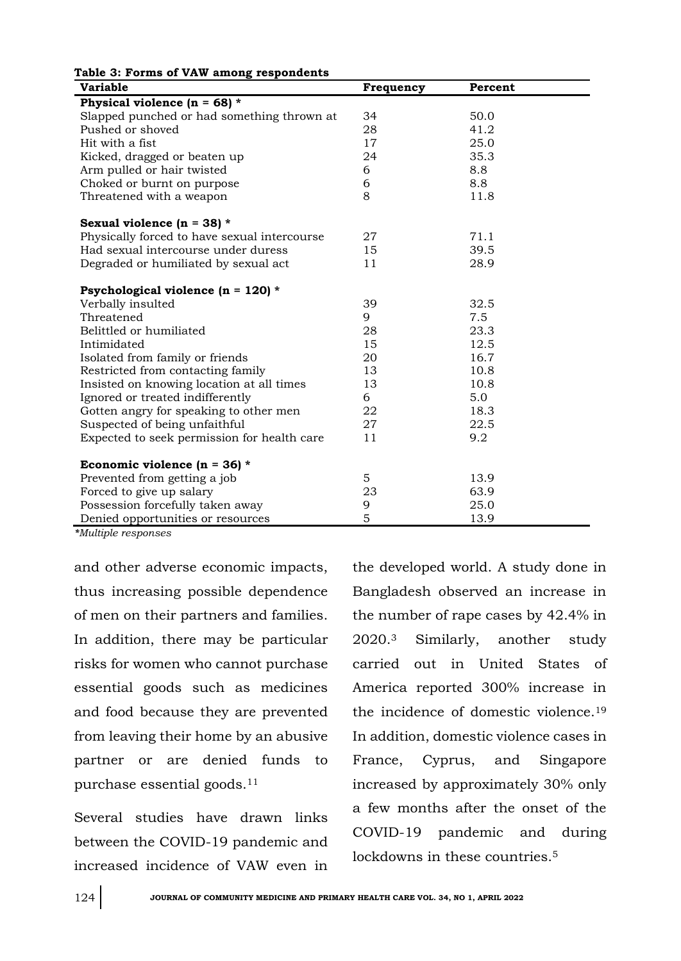| rable 3. Forms or vaw among respondents<br><b>Variable</b> | Frequency | Percent |  |  |  |
|------------------------------------------------------------|-----------|---------|--|--|--|
| Physical violence $(n = 68)$ *                             |           |         |  |  |  |
| Slapped punched or had something thrown at                 | 34        | 50.0    |  |  |  |
| Pushed or shoved                                           | 28        | 41.2    |  |  |  |
| Hit with a fist                                            | 17        | 25.0    |  |  |  |
| Kicked, dragged or beaten up                               | 24        | 35.3    |  |  |  |
| Arm pulled or hair twisted                                 | 6         | 8.8     |  |  |  |
| Choked or burnt on purpose                                 | 6         | 8.8     |  |  |  |
| Threatened with a weapon                                   | 8         | 11.8    |  |  |  |
| Sexual violence $(n = 38)$ *                               |           |         |  |  |  |
| Physically forced to have sexual intercourse               | 27        | 71.1    |  |  |  |
| Had sexual intercourse under duress                        | 15        | 39.5    |  |  |  |
| Degraded or humiliated by sexual act                       | 11        | 28.9    |  |  |  |
| Psychological violence (n = 120) *                         |           |         |  |  |  |
| Verbally insulted                                          | 39        | 32.5    |  |  |  |
| Threatened                                                 | 9         | 7.5     |  |  |  |
| Belittled or humiliated                                    | 28        | 23.3    |  |  |  |
| Intimidated                                                | 15        | 12.5    |  |  |  |
| Isolated from family or friends                            | 20        | 16.7    |  |  |  |
| Restricted from contacting family                          | 13        | 10.8    |  |  |  |
| Insisted on knowing location at all times                  | 13        | 10.8    |  |  |  |
| Ignored or treated indifferently                           | 6         | 5.0     |  |  |  |
| Gotten angry for speaking to other men                     | 22        | 18.3    |  |  |  |
| Suspected of being unfaithful                              | 27        | 22.5    |  |  |  |
| Expected to seek permission for health care                | 11        | 9.2     |  |  |  |
| Economic violence ( $n = 36$ ) *                           |           |         |  |  |  |
| Prevented from getting a job                               | 5         | 13.9    |  |  |  |
| Forced to give up salary                                   | 23        | 63.9    |  |  |  |
| Possession forcefully taken away                           | 9         | 25.0    |  |  |  |
| Denied opportunities or resources                          | 5         | 13.9    |  |  |  |

**Table 3: Forms of VAW among respondents**

*\*Multiple responses*

and other adverse economic impacts, thus increasing possible dependence of men on their partners and families. In addition, there may be particular risks for women who cannot purchase essential goods such as medicines and food because they are prevented from leaving their home by an abusive partner or are denied funds to purchase essential goods.<sup>11</sup>

Several studies have drawn links between the COVID-19 pandemic and increased incidence of VAW even in

the developed world. A study done in Bangladesh observed an increase in the number of rape cases by 42.4% in 2020.<sup>3</sup> Similarly, another study carried out in United States of America reported 300% increase in the incidence of domestic violence.<sup>19</sup> In addition, domestic violence cases in France, Cyprus, and Singapore increased by approximately 30% only a few months after the onset of the COVID-19 pandemic and during lockdowns in these countries.<sup>5</sup>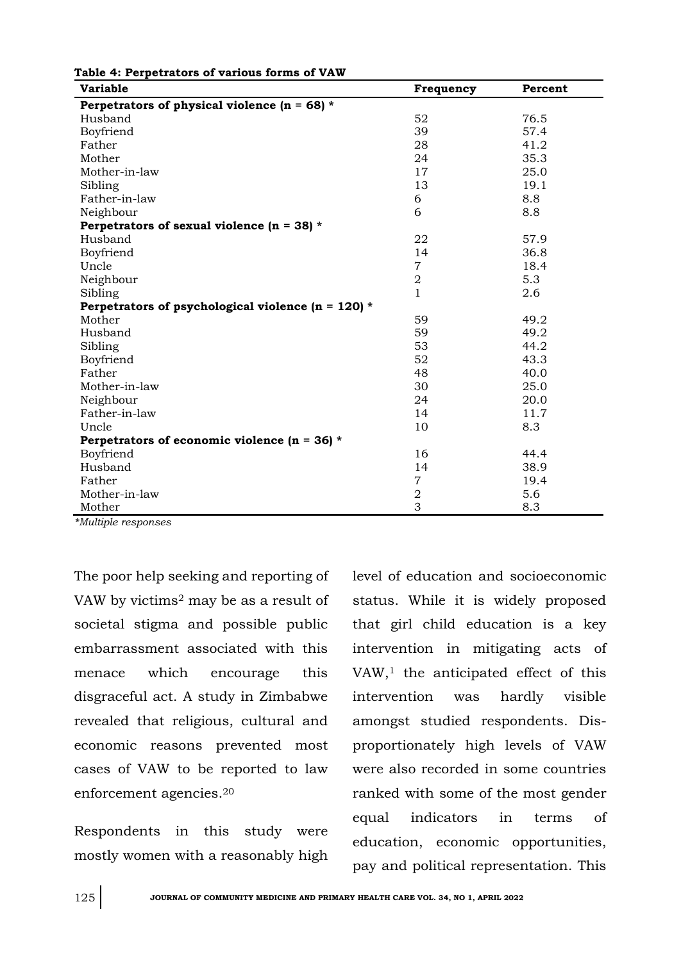| <b>Variable</b>                                        | Frequency        | Percent |
|--------------------------------------------------------|------------------|---------|
| Perpetrators of physical violence ( $n = 68$ ) *       |                  |         |
| Husband                                                | 52               | 76.5    |
| Boyfriend                                              | 39               | 57.4    |
| Father                                                 | 28               | 41.2    |
| Mother                                                 | 24               | 35.3    |
| Mother-in-law                                          | 17               | 25.0    |
| Sibling                                                | 13               | 19.1    |
| Father-in-law                                          | 6                | 8.8     |
| Neighbour                                              | 6                | 8.8     |
| Perpetrators of sexual violence $(n = 38)$ *           |                  |         |
| Husband                                                | 22               | 57.9    |
| Boyfriend                                              | 14               | 36.8    |
| Uncle                                                  | $\overline{7}$   | 18.4    |
| Neighbour                                              | $\boldsymbol{2}$ | 5.3     |
| Sibling                                                | $\mathbf{1}$     | 2.6     |
| Perpetrators of psychological violence ( $n = 120$ ) * |                  |         |
| Mother                                                 | 59               | 49.2    |
| Husband                                                | 59               | 49.2    |
| Sibling                                                | 53               | 44.2    |
| Boyfriend                                              | 52               | 43.3    |
| Father                                                 | 48               | 40.0    |
| Mother-in-law                                          | 30               | 25.0    |
| Neighbour                                              | 24               | 20.0    |
| Father-in-law                                          | 14               | 11.7    |
| Uncle                                                  | 10               | 8.3     |
| Perpetrators of economic violence ( $n = 36$ ) *       |                  |         |
| Boyfriend                                              | 16               | 44.4    |
| Husband                                                | 14               | 38.9    |
| Father                                                 | $\overline{7}$   | 19.4    |
| Mother-in-law                                          | $\overline{a}$   | 5.6     |
| Mother                                                 | 3                | 8.3     |

**Table 4: Perpetrators of various forms of VAW**

*\*Multiple responses*

The poor help seeking and reporting of VAW by victims<sup>2</sup> may be as a result of societal stigma and possible public embarrassment associated with this menace which encourage this disgraceful act. A study in Zimbabwe revealed that religious, cultural and economic reasons prevented most cases of VAW to be reported to law enforcement agencies.<sup>20</sup>

Respondents in this study were mostly women with a reasonably high

level of education and socioeconomic status. While it is widely proposed that girl child education is a key intervention in mitigating acts of VAW,<sup>1</sup> the anticipated effect of this intervention was hardly visible amongst studied respondents. Disproportionately high levels of VAW were also recorded in some countries ranked with some of the most gender equal indicators in terms of education, economic opportunities, pay and political representation. This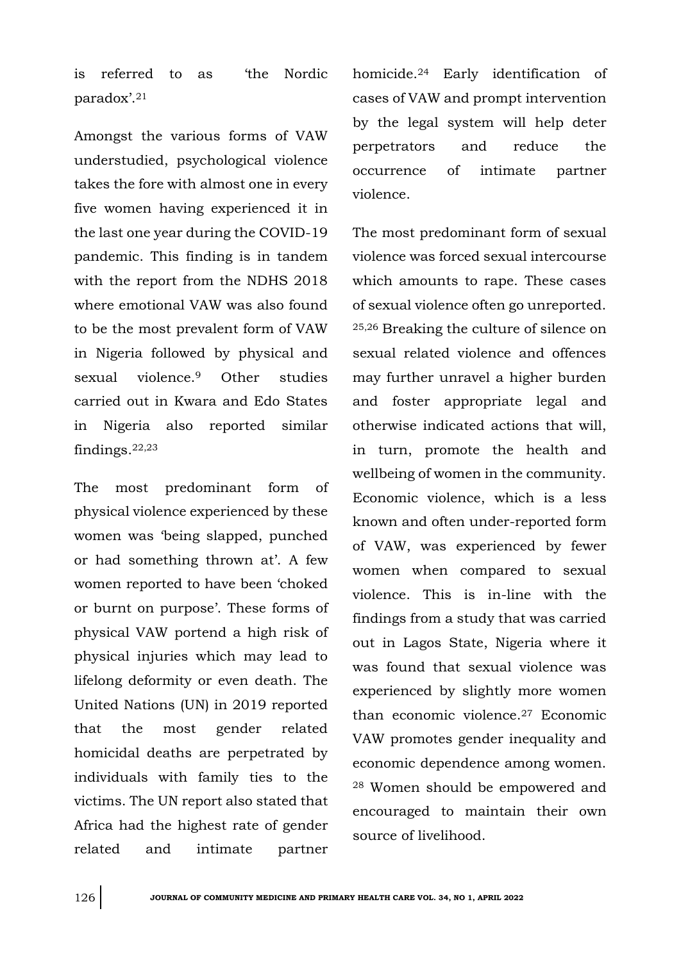is referred to as 'the Nordic paradox'.<sup>21</sup>

Amongst the various forms of VAW understudied, psychological violence takes the fore with almost one in every five women having experienced it in the last one year during the COVID-19 pandemic. This finding is in tandem with the report from the NDHS 2018 where emotional VAW was also found to be the most prevalent form of VAW in Nigeria followed by physical and sexual violence.<sup>9</sup> Other studies carried out in Kwara and Edo States in Nigeria also reported similar findings.22,23

The most predominant form of physical violence experienced by these women was 'being slapped, punched or had something thrown at'. A few women reported to have been 'choked or burnt on purpose'. These forms of physical VAW portend a high risk of physical injuries which may lead to lifelong deformity or even death. The United Nations (UN) in 2019 reported that the most gender related homicidal deaths are perpetrated by individuals with family ties to the victims. The UN report also stated that Africa had the highest rate of gender related and intimate partner

homicide.<sup>24</sup> Early identification of cases of VAW and prompt intervention by the legal system will help deter perpetrators and reduce the occurrence of intimate partner violence.

The most predominant form of sexual violence was forced sexual intercourse which amounts to rape. These cases of sexual violence often go unreported. 25,26 Breaking the culture of silence on sexual related violence and offences may further unravel a higher burden and foster appropriate legal and otherwise indicated actions that will, in turn, promote the health and wellbeing of women in the community. Economic violence, which is a less known and often under-reported form of VAW, was experienced by fewer women when compared to sexual violence. This is in-line with the findings from a study that was carried out in Lagos State, Nigeria where it was found that sexual violence was experienced by slightly more women than economic violence.<sup>27</sup> Economic VAW promotes gender inequality and economic dependence among women. <sup>28</sup> Women should be empowered and encouraged to maintain their own source of livelihood.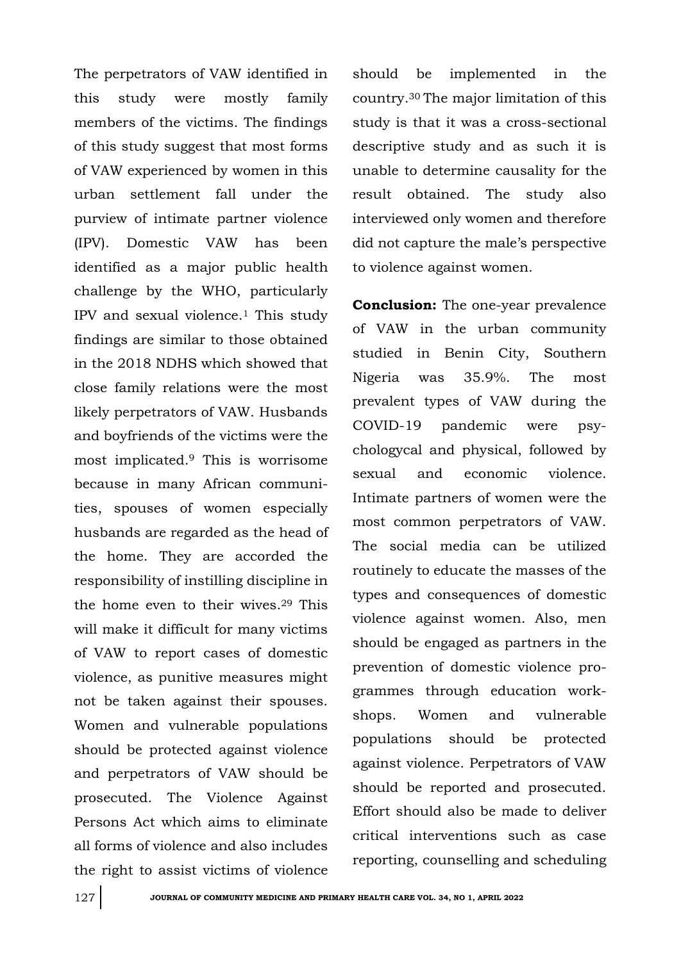The perpetrators of VAW identified in this study were mostly family members of the victims. The findings of this study suggest that most forms of VAW experienced by women in this urban settlement fall under the purview of intimate partner violence (IPV). Domestic VAW has been identified as a major public health challenge by the WHO, particularly IPV and sexual violence.<sup>1</sup> This study findings are similar to those obtained in the 2018 NDHS which showed that close family relations were the most likely perpetrators of VAW. Husbands and boyfriends of the victims were the most implicated.<sup>9</sup> This is worrisome because in many African communities, spouses of women especially husbands are regarded as the head of the home. They are accorded the responsibility of instilling discipline in the home even to their wives.<sup>29</sup> This will make it difficult for many victims of VAW to report cases of domestic violence, as punitive measures might not be taken against their spouses. Women and vulnerable populations should be protected against violence and perpetrators of VAW should be prosecuted. The Violence Against Persons Act which aims to eliminate all forms of violence and also includes the right to assist victims of violence

should be implemented in the country.30 The major limitation of this study is that it was a cross-sectional descriptive study and as such it is unable to determine causality for the result obtained. The study also interviewed only women and therefore did not capture the male's perspective to violence against women.

**Conclusion:** The one-year prevalence of VAW in the urban community studied in Benin City, Southern Nigeria was 35.9%. The most prevalent types of VAW during the COVID-19 pandemic were psychologycal and physical, followed by sexual and economic violence. Intimate partners of women were the most common perpetrators of VAW. The social media can be utilized routinely to educate the masses of the types and consequences of domestic violence against women. Also, men should be engaged as partners in the prevention of domestic violence programmes through education workshops. Women and vulnerable populations should be protected against violence. Perpetrators of VAW should be reported and prosecuted. Effort should also be made to deliver critical interventions such as case reporting, counselling and scheduling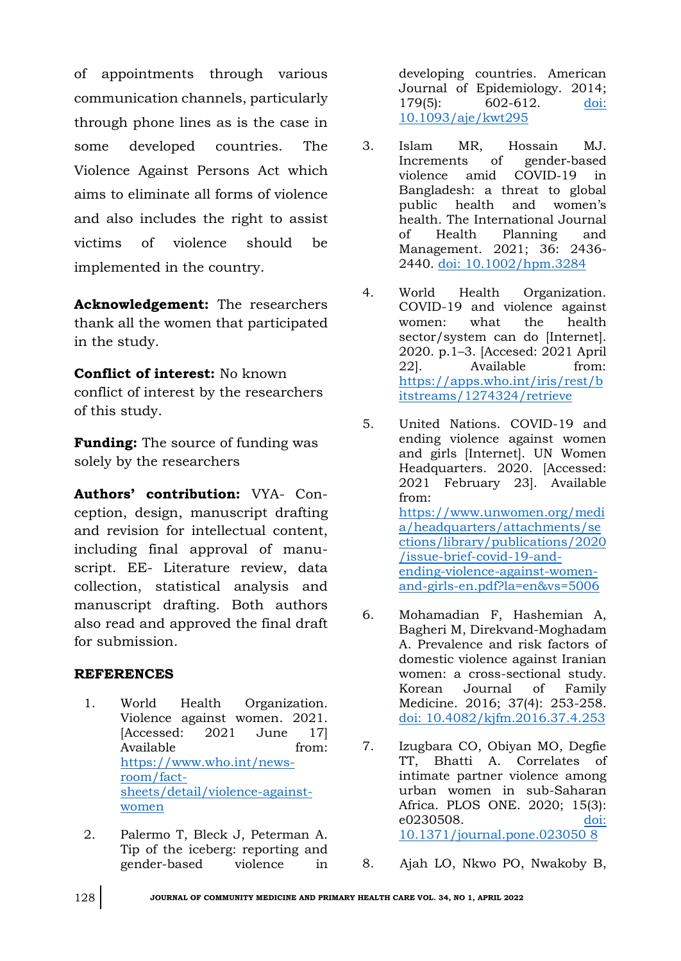of appointments through various communication channels, particularly through phone lines as is the case in some developed countries. The Violence Against Persons Act which aims to eliminate all forms of violence and also includes the right to assist victims of violence should be implemented in the country.

**Acknowledgement:** The researchers thank all the women that participated in the study.

**Conflict of interest:** No known conflict of interest by the researchers of this study.

**Funding:** The source of funding was solely by the researchers

**Authors' contribution:** VYA- Conception, design, manuscript drafting and revision for intellectual content, including final approval of manuscript. EE- Literature review, data collection, statistical analysis and manuscript drafting. Both authors also read and approved the final draft for submission.

## **REFERENCES**

- 1. World Health Organization. Violence against women. 2021. [Accessed: 2021 June 17] Available from: [https://www.who.int/news](https://www.who.int/news-room/fact-sheets/detail/violence-against-women)[room/fact](https://www.who.int/news-room/fact-sheets/detail/violence-against-women)[sheets/detail/violence-against](https://www.who.int/news-room/fact-sheets/detail/violence-against-women)[women](https://www.who.int/news-room/fact-sheets/detail/violence-against-women)
- 2. Palermo T, Bleck J, Peterman A. Tip of the iceberg: reporting and gender-based violence in

developing countries. American Journal of Epidemiology. 2014; 179(5): 602-612. [doi:](doi:%2010.1093/aje/kwt295)  [10.1093/aje/kwt295](doi:%2010.1093/aje/kwt295)

- 3. Islam MR, Hossain MJ. Increments of gender‐based violence amid COVID‐19 in Bangladesh: a threat to global public health and women's health. The International Journal of Health Planning and Management. 2021; 36: 2436- 2440. [doi: 10.1002/hpm.3284](doi:%2010.1002/hpm.3284)
- 4. World Health Organization. COVID-19 and violence against women: what the health sector/system can do [Internet]. 2020. p.1–3. [Accesed: 2021 April 22]. Available from: [https://apps.who.int/iris/rest/b](https://apps.who.int/iris/rest/bitstreams/1274324/retrieve) [itstreams/1274324/retrieve](https://apps.who.int/iris/rest/bitstreams/1274324/retrieve)
- 5. United Nations. COVID-19 and ending violence against women and girls [Internet]. UN Women Headquarters. 2020. [Accessed: 2021 February 23]. Available from: [https://www.unwomen.org/medi](https://www.unwomen.org/media/headquarters/attachments/sections/library/publications/2020/issue-brief-covid-19-and-ending-violence-against-women-and-girls-en.pdf?la=en&vs=5006) [a/headquarters/attachments/se](https://www.unwomen.org/media/headquarters/attachments/sections/library/publications/2020/issue-brief-covid-19-and-ending-violence-against-women-and-girls-en.pdf?la=en&vs=5006) [ctions/library/publications/2020](https://www.unwomen.org/media/headquarters/attachments/sections/library/publications/2020/issue-brief-covid-19-and-ending-violence-against-women-and-girls-en.pdf?la=en&vs=5006) [/issue-brief-covid-19-and](https://www.unwomen.org/media/headquarters/attachments/sections/library/publications/2020/issue-brief-covid-19-and-ending-violence-against-women-and-girls-en.pdf?la=en&vs=5006)[ending-violence-against-women](https://www.unwomen.org/media/headquarters/attachments/sections/library/publications/2020/issue-brief-covid-19-and-ending-violence-against-women-and-girls-en.pdf?la=en&vs=5006)[and-girls-en.pdf?la=en&vs=5006](https://www.unwomen.org/media/headquarters/attachments/sections/library/publications/2020/issue-brief-covid-19-and-ending-violence-against-women-and-girls-en.pdf?la=en&vs=5006)
- 6. Mohamadian F, Hashemian A, Bagheri M, Direkvand-Moghadam A. Prevalence and risk factors of domestic violence against Iranian women: a cross-sectional study. Korean Journal of Family Medicine. 2016; 37(4): 253-258. [doi: 10.4082/kjfm.2016.37.4.253](doi:%2010.4082/kjfm.2016.37.4.253)
- 7. Izugbara CO, Obiyan MO, Degfie TT, Bhatti A. Correlates of intimate partner violence among urban women in sub-Saharan Africa. PLOS ONE. 2020; 15(3): e0230508. [doi:](doi:%2010.1371/journal.pone.023050%208)  [10.1371/journal.pone.023050](doi:%2010.1371/journal.pone.023050%208) 8

8. Ajah LO, Nkwo PO, Nwakoby B,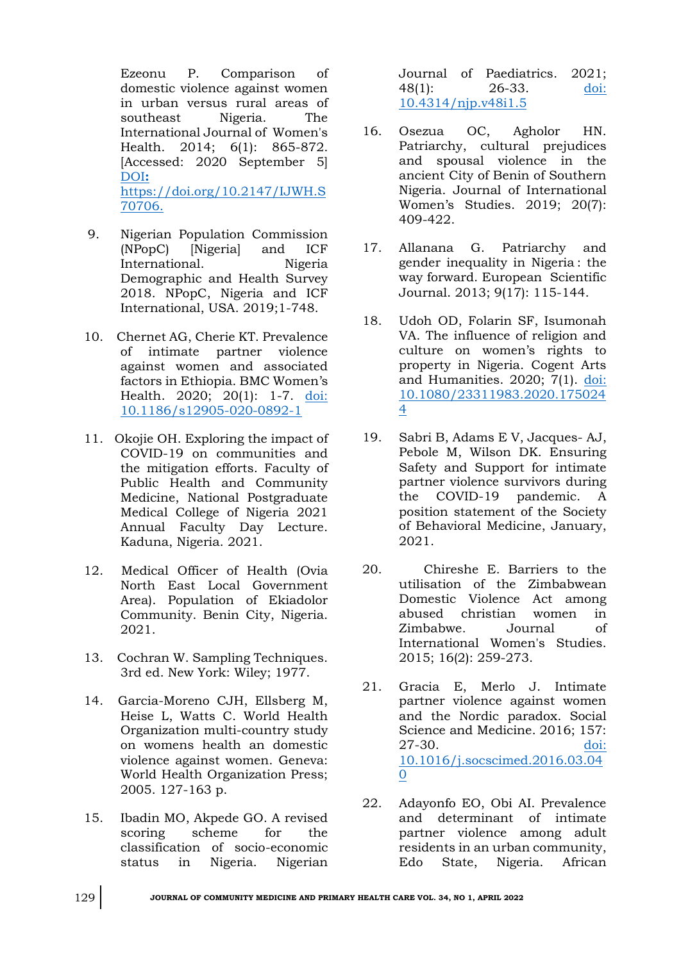Ezeonu P. Comparison of domestic violence against women in urban versus rural areas of southeast Nigeria. The International Journal of Women's Health. 2014; 6(1): 865-872. [Accessed: 2020 September 5] [DOI](doi:%20https://doi.org/10.2147/IJWH.S70706.)**:** [https://doi.org/10.2147/IJWH.S](doi:%20https://doi.org/10.2147/IJWH.S70706.) [70706.](doi:%20https://doi.org/10.2147/IJWH.S70706.)

- 9. Nigerian Population Commission (NPopC) [Nigeria] and ICF International. Nigeria Demographic and Health Survey 2018. NPopC, Nigeria and ICF International, USA. 2019;1-748.
- 10. Chernet AG, Cherie KT. Prevalence of intimate partner violence against women and associated factors in Ethiopia. BMC Women's Health. 2020; 20(1): 1-7. [doi:](doi:%2010.1186/s12905-020-0892-1)  [10.1186/s12905-020-0892-1](doi:%2010.1186/s12905-020-0892-1)
- 11. Okojie OH. Exploring the impact of COVID-19 on communities and the mitigation efforts. Faculty of Public Health and Community Medicine, National Postgraduate Medical College of Nigeria 2021 Annual Faculty Day Lecture. Kaduna, Nigeria. 2021.
- 12. Medical Officer of Health (Ovia North East Local Government Area). Population of Ekiadolor Community. Benin City, Nigeria. 2021.
- 13. Cochran W. Sampling Techniques. 3rd ed. New York: Wiley; 1977.
- 14. Garcia-Moreno CJH, Ellsberg M, Heise L, Watts C. World Health Organization multi-country study on womens health an domestic violence against women. Geneva: World Health Organization Press; 2005. 127-163 p.
- 15. Ibadin MO, Akpede GO. A revised scoring scheme for the classification of socio-economic status in Nigeria. Nigerian

Journal of Paediatrics. 2021; 48(1): 26-33. [doi:](doi:%2010.4314/njp.v48i1.5)  [10.4314/njp.v48i1.5](doi:%2010.4314/njp.v48i1.5)

- 16. Osezua OC, Agholor HN. Patriarchy, cultural prejudices and spousal violence in the ancient City of Benin of Southern Nigeria. Journal of International Women's Studies. 2019; 20(7): 409-422.
- 17. Allanana G. Patriarchy and gender inequality in Nigeria : the way forward. European Scientific Journal. 2013; 9(17): 115-144.
- 18. Udoh OD, Folarin SF, Isumonah VA. The influence of religion and culture on women's rights to property in Nigeria. Cogent Arts and Humanities. 2020; 7(1). [doi:](doi:%2010.1080/23311983.2020.1750244)  [10.1080/23311983.2020.175024](doi:%2010.1080/23311983.2020.1750244) [4](doi:%2010.1080/23311983.2020.1750244)
- 19. Sabri B, Adams E V, Jacques- AJ, Pebole M, Wilson DK. Ensuring Safety and Support for intimate partner violence survivors during the COVID-19 pandemic. A position statement of the Society of Behavioral Medicine, January, 2021.
- 20. Chireshe E. Barriers to the utilisation of the Zimbabwean Domestic Violence Act among abused christian women in Zimbabwe. Journal of International Women's Studies. 2015; 16(2): 259-273.
- 21. Gracia E, Merlo J. Intimate partner violence against women and the Nordic paradox. Social Science and Medicine. 2016; 157: 27-30. [doi:](doi:%2010.1016/j.socscimed.2016.03.040)  [10.1016/j.socscimed.2016.03.04](doi:%2010.1016/j.socscimed.2016.03.040) [0](doi:%2010.1016/j.socscimed.2016.03.040)
- 22. Adayonfo EO, Obi AI. Prevalence and determinant of intimate partner violence among adult residents in an urban community, Edo State, Nigeria. African